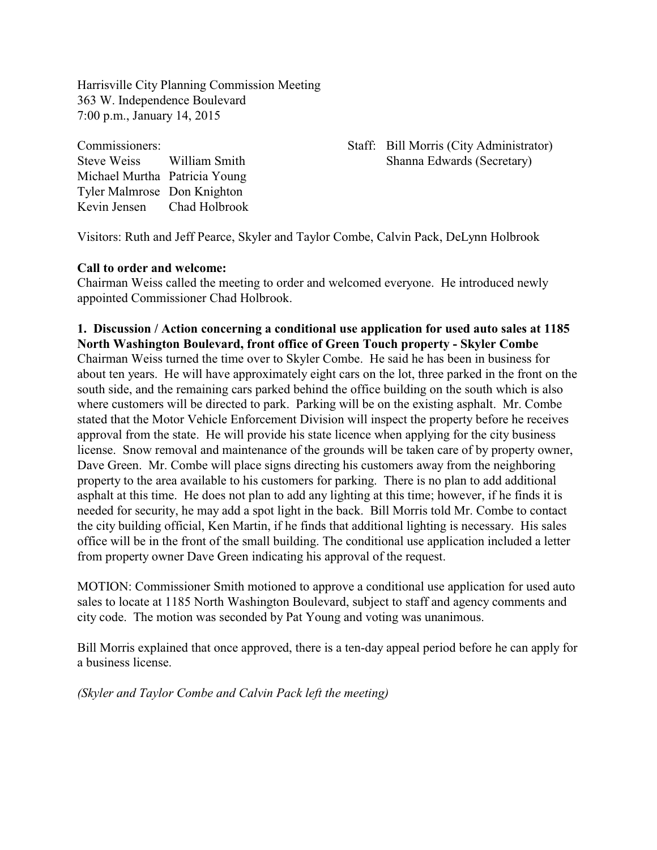Harrisville City Planning Commission Meeting 363 W. Independence Boulevard 7:00 p.m., January 14, 2015

Michael Murtha Patricia Young Tyler Malmrose Don Knighton Kevin Jensen Chad Holbrook

#### Commissioners: Staff: Bill Morris (City Administrator) Steve Weiss William Smith Shanna Edwards (Secretary)

Visitors: Ruth and Jeff Pearce, Skyler and Taylor Combe, Calvin Pack, DeLynn Holbrook

#### **Call to order and welcome:**

Chairman Weiss called the meeting to order and welcomed everyone. He introduced newly appointed Commissioner Chad Holbrook.

# **1. Discussion / Action concerning a conditional use application for used auto sales at 1185 North Washington Boulevard, front office of Green Touch property - Skyler Combe** Chairman Weiss turned the time over to Skyler Combe. He said he has been in business for about ten years. He will have approximately eight cars on the lot, three parked in the front on the

south side, and the remaining cars parked behind the office building on the south which is also where customers will be directed to park. Parking will be on the existing asphalt. Mr. Combe stated that the Motor Vehicle Enforcement Division will inspect the property before he receives approval from the state. He will provide his state licence when applying for the city business license. Snow removal and maintenance of the grounds will be taken care of by property owner, Dave Green. Mr. Combe will place signs directing his customers away from the neighboring property to the area available to his customers for parking. There is no plan to add additional asphalt at this time. He does not plan to add any lighting at this time; however, if he finds it is needed for security, he may add a spot light in the back. Bill Morris told Mr. Combe to contact the city building official, Ken Martin, if he finds that additional lighting is necessary. His sales office will be in the front of the small building. The conditional use application included a letter from property owner Dave Green indicating his approval of the request.

MOTION: Commissioner Smith motioned to approve a conditional use application for used auto sales to locate at 1185 North Washington Boulevard, subject to staff and agency comments and city code. The motion was seconded by Pat Young and voting was unanimous.

Bill Morris explained that once approved, there is a ten-day appeal period before he can apply for a business license.

*(Skyler and Taylor Combe and Calvin Pack left the meeting)*